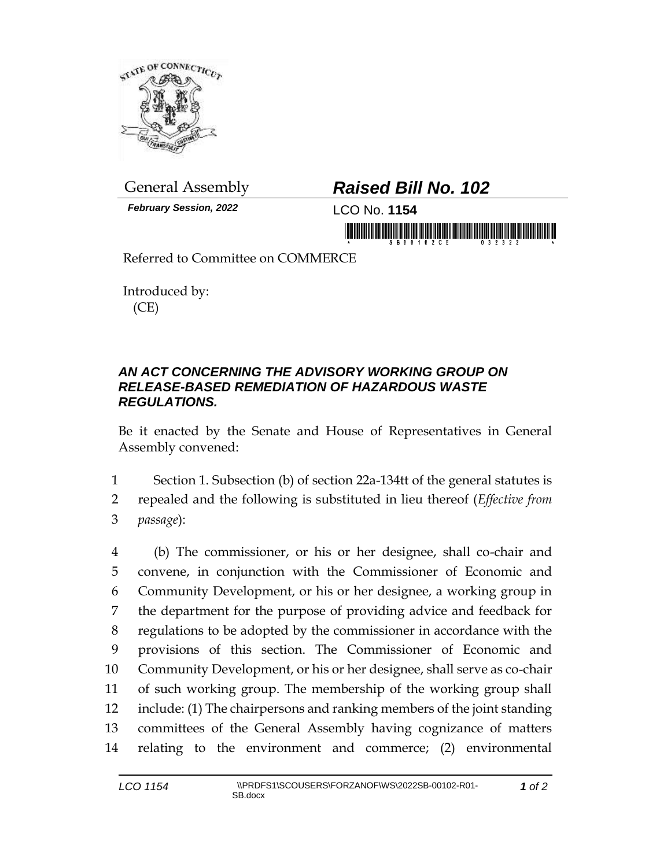

*February Session, 2022* LCO No. **1154**

## General Assembly *Raised Bill No. 102*

in morning this is in this fight morning is in the state of the

Referred to Committee on COMMERCE

Introduced by: (CE)

## *AN ACT CONCERNING THE ADVISORY WORKING GROUP ON RELEASE-BASED REMEDIATION OF HAZARDOUS WASTE REGULATIONS.*

Be it enacted by the Senate and House of Representatives in General Assembly convened:

1 Section 1. Subsection (b) of section 22a-134tt of the general statutes is 2 repealed and the following is substituted in lieu thereof (*Effective from*  3 *passage*):

 (b) The commissioner, or his or her designee, shall co-chair and convene, in conjunction with the Commissioner of Economic and Community Development, or his or her designee, a working group in the department for the purpose of providing advice and feedback for regulations to be adopted by the commissioner in accordance with the provisions of this section. The Commissioner of Economic and Community Development, or his or her designee, shall serve as co-chair of such working group. The membership of the working group shall include: (1) The chairpersons and ranking members of the joint standing committees of the General Assembly having cognizance of matters relating to the environment and commerce; (2) environmental